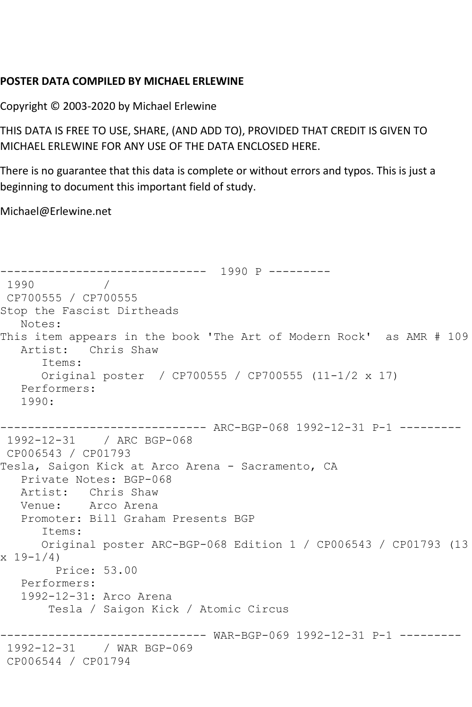## **POSTER DATA COMPILED BY MICHAEL ERLEWINE**

Copyright © 2003-2020 by Michael Erlewine

THIS DATA IS FREE TO USE, SHARE, (AND ADD TO), PROVIDED THAT CREDIT IS GIVEN TO MICHAEL ERLEWINE FOR ANY USE OF THE DATA ENCLOSED HERE.

There is no guarantee that this data is complete or without errors and typos. This is just a beginning to document this important field of study.

Michael@Erlewine.net

------------------------------ 1990 P --------- 1990 / CP700555 / CP700555 Stop the Fascist Dirtheads Notes: This item appears in the book 'The Art of Modern Rock' as AMR # 109 Artist: Chris Shaw Items: Original poster / CP700555 / CP700555 (11-1/2 x 17) Performers: 1990: ------------------------------ ARC-BGP-068 1992-12-31 P-1 --------- 1992-12-31 / ARC BGP-068 CP006543 / CP01793 Tesla, Saigon Kick at Arco Arena - Sacramento, CA Private Notes: BGP-068 Artist: Chris Shaw Venue: Arco Arena Promoter: Bill Graham Presents BGP Items: Original poster ARC-BGP-068 Edition 1 / CP006543 / CP01793 (13 x 19-1/4) Price: 53.00 Performers: 1992-12-31: Arco Arena Tesla / Saigon Kick / Atomic Circus ------------------------------ WAR-BGP-069 1992-12-31 P-1 --------- 1992-12-31 / WAR BGP-069 CP006544 / CP01794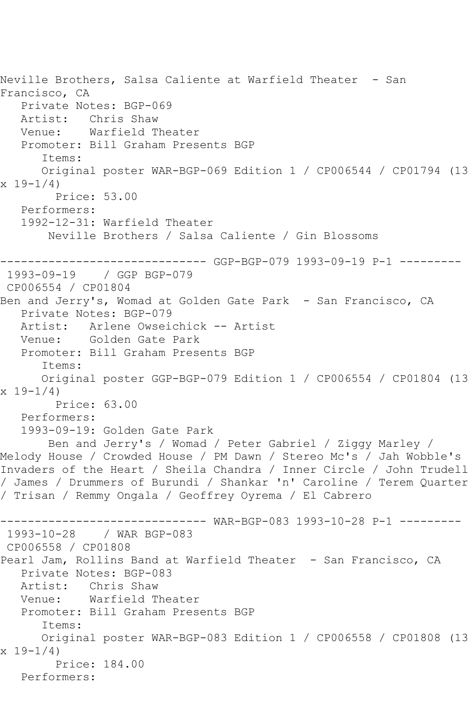```
Neville Brothers, Salsa Caliente at Warfield Theater - San
Francisco, CA
   Private Notes: BGP-069
  Artist: Chris Shaw<br>Venue: Warfield T
            Warfield Theater
   Promoter: Bill Graham Presents BGP
       Items:
       Original poster WAR-BGP-069 Edition 1 / CP006544 / CP01794 (13 
x 19-1/4 Price: 53.00
   Performers:
    1992-12-31: Warfield Theater
        Neville Brothers / Salsa Caliente / Gin Blossoms
------------------------------ GGP-BGP-079 1993-09-19 P-1 ---------
1993-09-19 / GGP BGP-079
CP006554 / CP01804
Ben and Jerry's, Womad at Golden Gate Park - San Francisco, CA
   Private Notes: BGP-079
   Artist: Arlene Owseichick -- Artist
   Venue: Golden Gate Park
   Promoter: Bill Graham Presents BGP
       Items:
       Original poster GGP-BGP-079 Edition 1 / CP006554 / CP01804 (13 
x 19-1/4)
        Price: 63.00
   Performers:
    1993-09-19: Golden Gate Park
        Ben and Jerry's / Womad / Peter Gabriel / Ziggy Marley / 
Melody House / Crowded House / PM Dawn / Stereo Mc's / Jah Wobble's 
Invaders of the Heart / Sheila Chandra / Inner Circle / John Trudell 
/ James / Drummers of Burundi / Shankar 'n' Caroline / Terem Quarter 
/ Trisan / Remmy Ongala / Geoffrey Oyrema / El Cabrero
                      ------------------------------ WAR-BGP-083 1993-10-28 P-1 ---------
1993-10-28 / WAR BGP-083
CP006558 / CP01808
Pearl Jam, Rollins Band at Warfield Theater - San Francisco, CA
   Private Notes: BGP-083
   Artist: Chris Shaw
   Venue: Warfield Theater
   Promoter: Bill Graham Presents BGP
       Items:
       Original poster WAR-BGP-083 Edition 1 / CP006558 / CP01808 (13 
x 19-1/4)
         Price: 184.00
   Performers:
```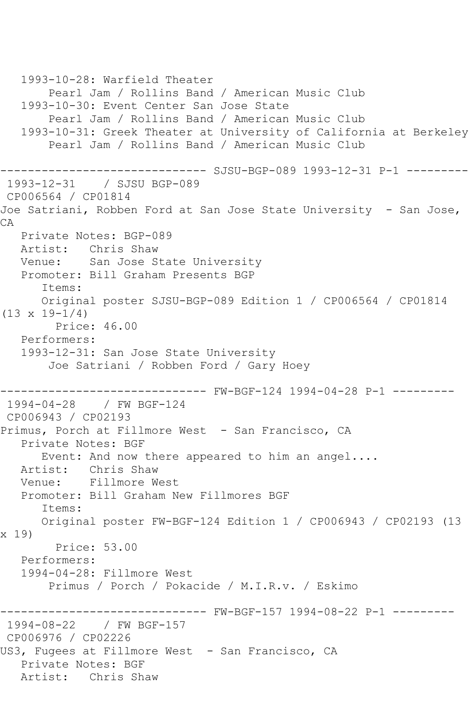1993-10-28: Warfield Theater Pearl Jam / Rollins Band / American Music Club 1993-10-30: Event Center San Jose State Pearl Jam / Rollins Band / American Music Club 1993-10-31: Greek Theater at University of California at Berkeley Pearl Jam / Rollins Band / American Music Club ------------------------------ SJSU-BGP-089 1993-12-31 P-1 --------- 1993-12-31 / SJSU BGP-089 CP006564 / CP01814 Joe Satriani, Robben Ford at San Jose State University - San Jose, CA Private Notes: BGP-089 Artist: Chris Shaw<br>Venue: San Jose S San Jose State University Promoter: Bill Graham Presents BGP Items: Original poster SJSU-BGP-089 Edition 1 / CP006564 / CP01814  $(13 \times 19 - 1/4)$  Price: 46.00 Performers: 1993-12-31: San Jose State University Joe Satriani / Robben Ford / Gary Hoey ------------------------------ FW-BGF-124 1994-04-28 P-1 --------- 1994-04-28 / FW BGF-124 CP006943 / CP02193 Primus, Porch at Fillmore West - San Francisco, CA Private Notes: BGF Event: And now there appeared to him an angel.... Artist: Chris Shaw<br>Venue: Fillmore W Fillmore West Promoter: Bill Graham New Fillmores BGF Items: Original poster FW-BGF-124 Edition 1 / CP006943 / CP02193 (13 x 19) Price: 53.00 Performers: 1994-04-28: Fillmore West Primus / Porch / Pokacide / M.I.R.v. / Eskimo ------------------------------ FW-BGF-157 1994-08-22 P-1 --------- 1994-08-22 / FW BGF-157 CP006976 / CP02226 US3, Fugees at Fillmore West - San Francisco, CA Private Notes: BGF Artist: Chris Shaw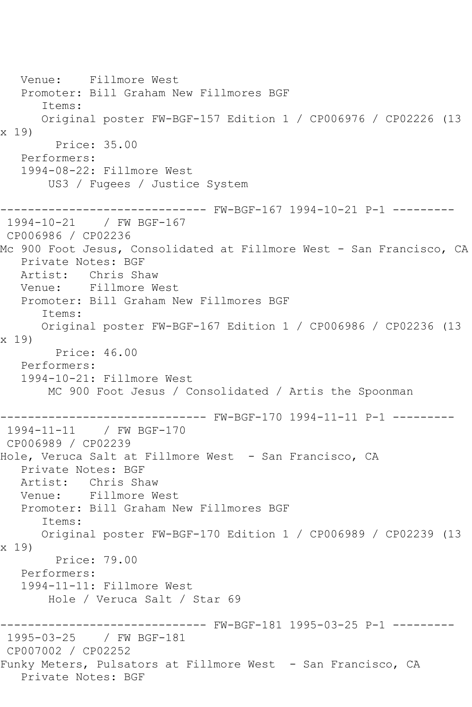Venue: Fillmore West Promoter: Bill Graham New Fillmores BGF Items: Original poster FW-BGF-157 Edition 1 / CP006976 / CP02226 (13 x 19) Price: 35.00 Performers: 1994-08-22: Fillmore West US3 / Fugees / Justice System ------------------------------ FW-BGF-167 1994-10-21 P-1 --------- 1994-10-21 / FW BGF-167 CP006986 / CP02236 Mc 900 Foot Jesus, Consolidated at Fillmore West - San Francisco, CA Private Notes: BGF Artist: Chris Shaw Venue: Fillmore West Promoter: Bill Graham New Fillmores BGF Items: Original poster FW-BGF-167 Edition 1 / CP006986 / CP02236 (13 x 19) Price: 46.00 Performers: 1994-10-21: Fillmore West MC 900 Foot Jesus / Consolidated / Artis the Spoonman ------------------------------ FW-BGF-170 1994-11-11 P-1 --------- 1994-11-11 / FW BGF-170 CP006989 / CP02239 Hole, Veruca Salt at Fillmore West - San Francisco, CA Private Notes: BGF Artist: Chris Shaw<br>Venue: Fillmore W Fillmore West Promoter: Bill Graham New Fillmores BGF Items: Original poster FW-BGF-170 Edition 1 / CP006989 / CP02239 (13 x 19) Price: 79.00 Performers: 1994-11-11: Fillmore West Hole / Veruca Salt / Star 69 ------------------------------ FW-BGF-181 1995-03-25 P-1 --------- 1995-03-25 / FW BGF-181 CP007002 / CP02252 Funky Meters, Pulsators at Fillmore West - San Francisco, CA Private Notes: BGF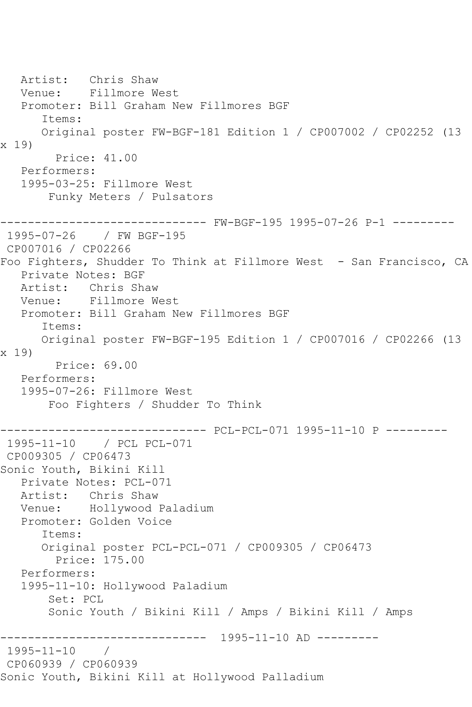Artist: Chris Shaw Venue: Fillmore West Promoter: Bill Graham New Fillmores BGF Items: Original poster FW-BGF-181 Edition 1 / CP007002 / CP02252 (13 x 19) Price: 41.00 Performers: 1995-03-25: Fillmore West Funky Meters / Pulsators ------------------------------ FW-BGF-195 1995-07-26 P-1 --------- 1995-07-26 / FW BGF-195 CP007016 / CP02266 Foo Fighters, Shudder To Think at Fillmore West - San Francisco, CA Private Notes: BGF Artist: Chris Shaw Venue: Fillmore West Promoter: Bill Graham New Fillmores BGF Items: Original poster FW-BGF-195 Edition 1 / CP007016 / CP02266 (13 x 19) Price: 69.00 Performers: 1995-07-26: Fillmore West Foo Fighters / Shudder To Think ------------------------------ PCL-PCL-071 1995-11-10 P --------- 1995-11-10 / PCL PCL-071 CP009305 / CP06473 Sonic Youth, Bikini Kill Private Notes: PCL-071 Artist: Chris Shaw Venue: Hollywood Paladium Promoter: Golden Voice Items: Original poster PCL-PCL-071 / CP009305 / CP06473 Price: 175.00 Performers: 1995-11-10: Hollywood Paladium Set: PCL Sonic Youth / Bikini Kill / Amps / Bikini Kill / Amps ------------------------------ 1995-11-10 AD --------- 1995-11-10 / CP060939 / CP060939 Sonic Youth, Bikini Kill at Hollywood Palladium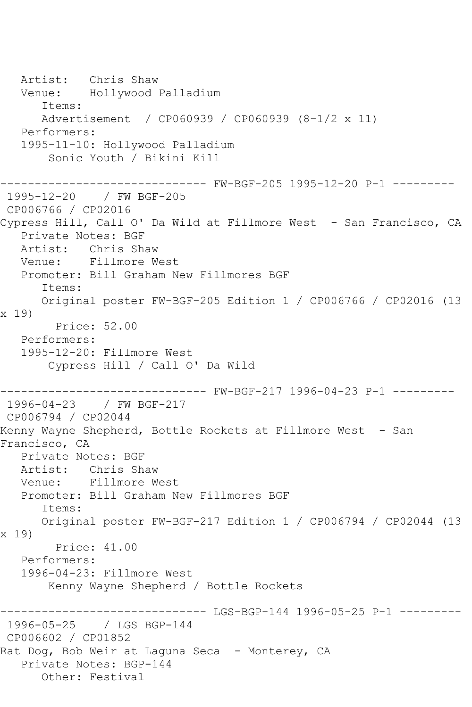Artist: Chris Shaw Venue: Hollywood Palladium Items: Advertisement / CP060939 / CP060939 (8-1/2 x 11) Performers: 1995-11-10: Hollywood Palladium Sonic Youth / Bikini Kill ------------------------------ FW-BGF-205 1995-12-20 P-1 --------- 1995-12-20 / FW BGF-205 CP006766 / CP02016 Cypress Hill, Call O' Da Wild at Fillmore West - San Francisco, CA Private Notes: BGF Artist: Chris Shaw Venue: Fillmore West Promoter: Bill Graham New Fillmores BGF Items: Original poster FW-BGF-205 Edition 1 / CP006766 / CP02016 (13 x 19) Price: 52.00 Performers: 1995-12-20: Fillmore West Cypress Hill / Call O' Da Wild ------------------------------ FW-BGF-217 1996-04-23 P-1 --------- 1996-04-23 / FW BGF-217 CP006794 / CP02044 Kenny Wayne Shepherd, Bottle Rockets at Fillmore West - San Francisco, CA Private Notes: BGF Artist: Chris Shaw Venue: Fillmore West Promoter: Bill Graham New Fillmores BGF Items: Original poster FW-BGF-217 Edition 1 / CP006794 / CP02044 (13 x 19) Price: 41.00 Performers: 1996-04-23: Fillmore West Kenny Wayne Shepherd / Bottle Rockets ------------------------------ LGS-BGP-144 1996-05-25 P-1 --------- 1996-05-25 / LGS BGP-144 CP006602 / CP01852 Rat Dog, Bob Weir at Laguna Seca – Monterey, CA Private Notes: BGP-144 Other: Festival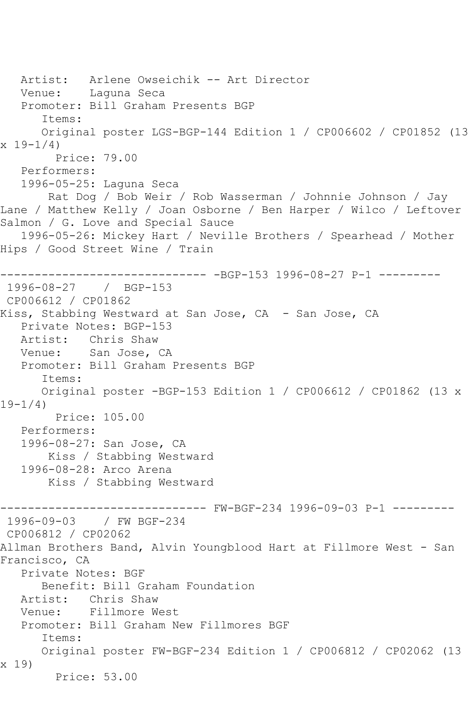Artist: Arlene Owseichik -- Art Director Venue: Laguna Seca Promoter: Bill Graham Presents BGP Items: Original poster LGS-BGP-144 Edition 1 / CP006602 / CP01852 (13  $x 19 - 1/4$  Price: 79.00 Performers: 1996-05-25: Laguna Seca Rat Dog / Bob Weir / Rob Wasserman / Johnnie Johnson / Jay Lane / Matthew Kelly / Joan Osborne / Ben Harper / Wilco / Leftover Salmon / G. Love and Special Sauce 1996-05-26: Mickey Hart / Neville Brothers / Spearhead / Mother Hips / Good Street Wine / Train ------------------------------ -BGP-153 1996-08-27 P-1 --------- 1996-08-27 / BGP-153 CP006612 / CP01862 Kiss, Stabbing Westward at San Jose, CA - San Jose, CA Private Notes: BGP-153 Artist: Chris Shaw Venue: San Jose, CA Promoter: Bill Graham Presents BGP Items: Original poster -BGP-153 Edition 1 / CP006612 / CP01862 (13 x  $19-1/4)$  Price: 105.00 Performers: 1996-08-27: San Jose, CA Kiss / Stabbing Westward 1996-08-28: Arco Arena Kiss / Stabbing Westward ------------------------------ FW-BGF-234 1996-09-03 P-1 --------- 1996-09-03 / FW BGF-234 CP006812 / CP02062 Allman Brothers Band, Alvin Youngblood Hart at Fillmore West - San Francisco, CA Private Notes: BGF Benefit: Bill Graham Foundation Artist: Chris Shaw Venue: Fillmore West Promoter: Bill Graham New Fillmores BGF Items: Original poster FW-BGF-234 Edition 1 / CP006812 / CP02062 (13 x 19) Price: 53.00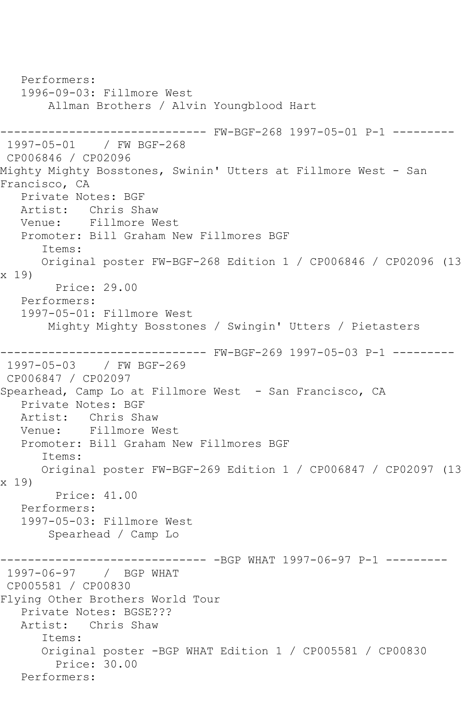Performers: 1996-09-03: Fillmore West Allman Brothers / Alvin Youngblood Hart ------------------------------ FW-BGF-268 1997-05-01 P-1 --------- 1997-05-01 / FW BGF-268 CP006846 / CP02096 Mighty Mighty Bosstones, Swinin' Utters at Fillmore West - San Francisco, CA Private Notes: BGF Artist: Chris Shaw<br>Venue: Fillmore W Fillmore West Promoter: Bill Graham New Fillmores BGF Items: Original poster FW-BGF-268 Edition 1 / CP006846 / CP02096 (13 x 19) Price: 29.00 Performers: 1997-05-01: Fillmore West Mighty Mighty Bosstones / Swingin' Utters / Pietasters ------------------------------ FW-BGF-269 1997-05-03 P-1 --------- 1997-05-03 / FW BGF-269 CP006847 / CP02097 Spearhead, Camp Lo at Fillmore West - San Francisco, CA Private Notes: BGF Artist: Chris Shaw Venue: Fillmore West Promoter: Bill Graham New Fillmores BGF Items: Original poster FW-BGF-269 Edition 1 / CP006847 / CP02097 (13 x 19) Price: 41.00 Performers: 1997-05-03: Fillmore West Spearhead / Camp Lo --------- -BGP WHAT 1997-06-97 P-1 ---------1997-06-97 / BGP WHAT CP005581 / CP00830 Flying Other Brothers World Tour Private Notes: BGSE??? Artist: Chris Shaw Items: Original poster -BGP WHAT Edition 1 / CP005581 / CP00830 Price: 30.00 Performers: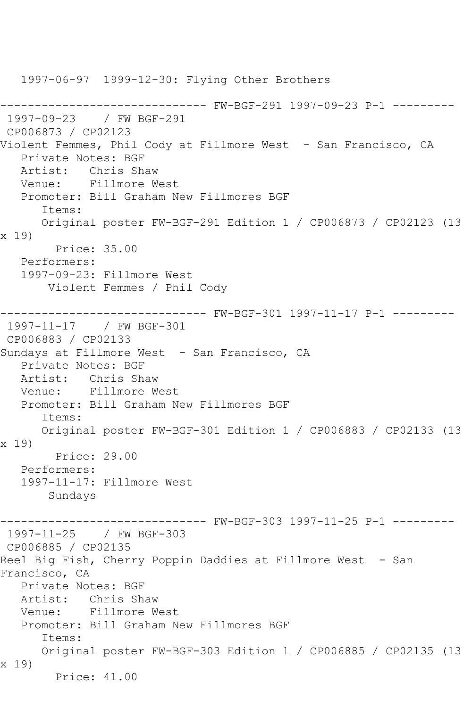1997-06-97 1999-12-30: Flying Other Brothers ------------------------------ FW-BGF-291 1997-09-23 P-1 --------- 1997-09-23 / FW BGF-291 CP006873 / CP02123 Violent Femmes, Phil Cody at Fillmore West - San Francisco, CA Private Notes: BGF Artist: Chris Shaw Venue: Fillmore West Promoter: Bill Graham New Fillmores BGF Items: Original poster FW-BGF-291 Edition 1 / CP006873 / CP02123 (13 x 19) Price: 35.00 Performers: 1997-09-23: Fillmore West Violent Femmes / Phil Cody ------------------------------ FW-BGF-301 1997-11-17 P-1 --------- 1997-11-17 / FW BGF-301 CP006883 / CP02133 Sundays at Fillmore West - San Francisco, CA Private Notes: BGF Artist: Chris Shaw Venue: Fillmore West Promoter: Bill Graham New Fillmores BGF Items: Original poster FW-BGF-301 Edition 1 / CP006883 / CP02133 (13 x 19) Price: 29.00 Performers: 1997-11-17: Fillmore West Sundays ------ FW-BGF-303 1997-11-25 P-1 ---------1997-11-25 / FW BGF-303 CP006885 / CP02135 Reel Big Fish, Cherry Poppin Daddies at Fillmore West - San Francisco, CA Private Notes: BGF Artist: Chris Shaw Venue: Fillmore West Promoter: Bill Graham New Fillmores BGF Items: Original poster FW-BGF-303 Edition 1 / CP006885 / CP02135 (13 x 19) Price: 41.00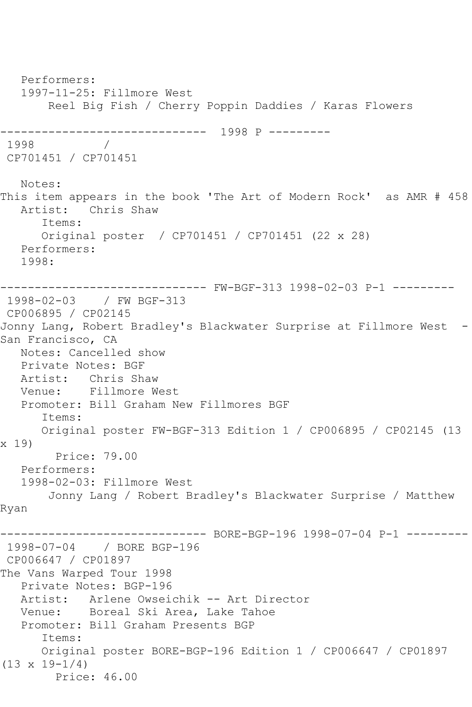Performers: 1997-11-25: Fillmore West Reel Big Fish / Cherry Poppin Daddies / Karas Flowers ------------------------------ 1998 P --------- 1998 / CP701451 / CP701451 Notes: This item appears in the book 'The Art of Modern Rock' as AMR # 458 Artist: Chris Shaw Items: Original poster / CP701451 / CP701451 (22 x 28) Performers: 1998: ------------------------------ FW-BGF-313 1998-02-03 P-1 --------- 1998-02-03 / FW BGF-313 CP006895 / CP02145 Jonny Lang, Robert Bradley's Blackwater Surprise at Fillmore West - San Francisco, CA Notes: Cancelled show Private Notes: BGF Artist: Chris Shaw Venue: Fillmore West Promoter: Bill Graham New Fillmores BGF Items: Original poster FW-BGF-313 Edition 1 / CP006895 / CP02145 (13 x 19) Price: 79.00 Performers: 1998-02-03: Fillmore West Jonny Lang / Robert Bradley's Blackwater Surprise / Matthew Ryan ------------------------------ BORE-BGP-196 1998-07-04 P-1 --------- 1998-07-04 / BORE BGP-196 CP006647 / CP01897 The Vans Warped Tour 1998 Private Notes: BGP-196 Artist: Arlene Owseichik -- Art Director Venue: Boreal Ski Area, Lake Tahoe Promoter: Bill Graham Presents BGP Items: Original poster BORE-BGP-196 Edition 1 / CP006647 / CP01897 (13 x 19-1/4) Price: 46.00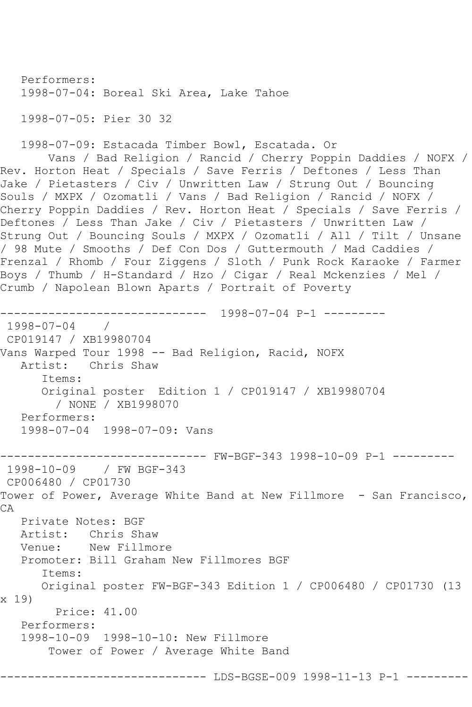Performers: 1998-07-04: Boreal Ski Area, Lake Tahoe 1998-07-05: Pier 30 32

1998-07-09: Estacada Timber Bowl, Escatada. Or

 Vans / Bad Religion / Rancid / Cherry Poppin Daddies / NOFX / Rev. Horton Heat / Specials / Save Ferris / Deftones / Less Than Jake / Pietasters / Civ / Unwritten Law / Strung Out / Bouncing Souls / MXPX / Ozomatli / Vans / Bad Religion / Rancid / NOFX / Cherry Poppin Daddies / Rev. Horton Heat / Specials / Save Ferris / Deftones / Less Than Jake / Civ / Pietasters / Unwritten Law / Strung Out / Bouncing Souls / MXPX / Ozomatli / All / Tilt / Unsane / 98 Mute / Smooths / Def Con Dos / Guttermouth / Mad Caddies / Frenzal / Rhomb / Four Ziggens / Sloth / Punk Rock Karaoke / Farmer Boys / Thumb / H-Standard / Hzo / Cigar / Real Mckenzies / Mel / Crumb / Napolean Blown Aparts / Portrait of Poverty

```
------------------------------ 1998-07-04 P-1 ---------
1998-07-04 / 
CP019147 / XB19980704
Vans Warped Tour 1998 -- Bad Religion, Racid, NOFX
   Artist: Chris Shaw
      Items:
      Original poster Edition 1 / CP019147 / XB19980704
         / NONE / XB1998070
   Performers:
   1998-07-04 1998-07-09: Vans
------------------------------ FW-BGF-343 1998-10-09 P-1 ---------
1998-10-09 / FW BGF-343
CP006480 / CP01730
Tower of Power, Average White Band at New Fillmore - San Francisco, 
CA
   Private Notes: BGF
   Artist: Chris Shaw
   Venue: New Fillmore
   Promoter: Bill Graham New Fillmores BGF
      Items:
      Original poster FW-BGF-343 Edition 1 / CP006480 / CP01730 (13 
x 19)
        Price: 41.00
   Performers:
   1998-10-09 1998-10-10: New Fillmore
       Tower of Power / Average White Band
                      -------- LDS-BGSE-009 1998-11-13 P-1 ---------
```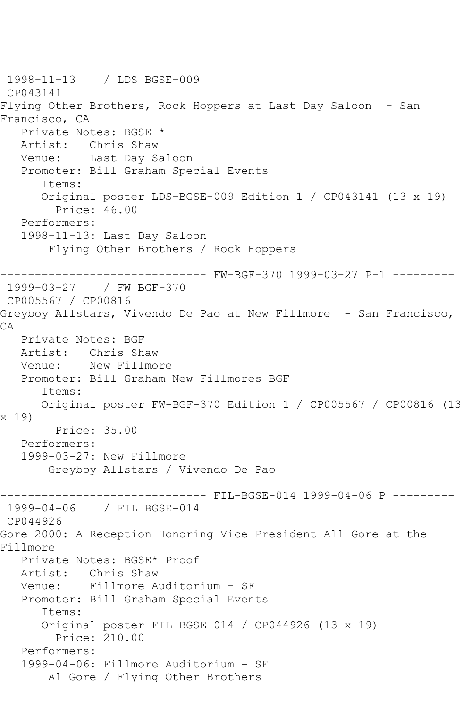1998-11-13 / LDS BGSE-009 CP043141 Flying Other Brothers, Rock Hoppers at Last Day Saloon - San Francisco, CA Private Notes: BGSE \* Artist: Chris Shaw Venue: Last Day Saloon Promoter: Bill Graham Special Events Items: Original poster LDS-BGSE-009 Edition 1 / CP043141 (13 x 19) Price: 46.00 Performers: 1998-11-13: Last Day Saloon Flying Other Brothers / Rock Hoppers ------------------------------ FW-BGF-370 1999-03-27 P-1 --------- 1999-03-27 / FW BGF-370 CP005567 / CP00816 Greyboy Allstars, Vivendo De Pao at New Fillmore - San Francisco, CA Private Notes: BGF Artist: Chris Shaw Venue: New Fillmore Promoter: Bill Graham New Fillmores BGF Items: Original poster FW-BGF-370 Edition 1 / CP005567 / CP00816 (13 x 19) Price: 35.00 Performers: 1999-03-27: New Fillmore Greyboy Allstars / Vivendo De Pao ------------------------------ FIL-BGSE-014 1999-04-06 P --------- 1999-04-06 / FIL BGSE-014 CP044926 Gore 2000: A Reception Honoring Vice President All Gore at the Fillmore Private Notes: BGSE\* Proof Artist: Chris Shaw<br>Venue: Fillmore Au Fillmore Auditorium - SF Promoter: Bill Graham Special Events Items: Original poster FIL-BGSE-014 / CP044926 (13 x 19) Price: 210.00 Performers: 1999-04-06: Fillmore Auditorium - SF Al Gore / Flying Other Brothers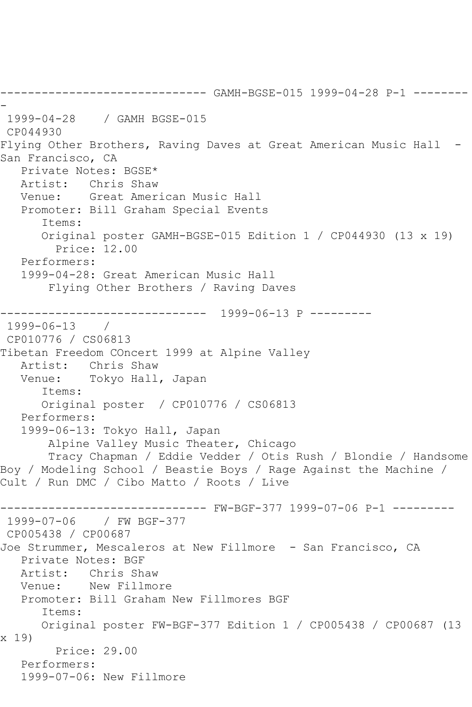------------------------------ GAMH-BGSE-015 1999-04-28 P-1 -------- - 1999-04-28 / GAMH BGSE-015 CP044930 Flying Other Brothers, Raving Daves at Great American Music Hall - San Francisco, CA Private Notes: BGSE\* Artist: Chris Shaw Venue: Great American Music Hall Promoter: Bill Graham Special Events Items: Original poster GAMH-BGSE-015 Edition 1 / CP044930 (13 x 19) Price: 12.00 Performers: 1999-04-28: Great American Music Hall Flying Other Brothers / Raving Daves ------------------------------ 1999-06-13 P --------- 1999-06-13 / CP010776 / CS06813 Tibetan Freedom COncert 1999 at Alpine Valley Artist: Chris Shaw Venue: Tokyo Hall, Japan Items: Original poster / CP010776 / CS06813 Performers: 1999-06-13: Tokyo Hall, Japan Alpine Valley Music Theater, Chicago Tracy Chapman / Eddie Vedder / Otis Rush / Blondie / Handsome Boy / Modeling School / Beastie Boys / Rage Against the Machine / Cult / Run DMC / Cibo Matto / Roots / Live ------------------------------ FW-BGF-377 1999-07-06 P-1 --------- 1999-07-06 / FW BGF-377 CP005438 / CP00687 Joe Strummer, Mescaleros at New Fillmore - San Francisco, CA Private Notes: BGF Artist: Chris Shaw<br>Venue: New Fillmo New Fillmore Promoter: Bill Graham New Fillmores BGF Items: Original poster FW-BGF-377 Edition 1 / CP005438 / CP00687 (13 x 19) Price: 29.00 Performers: 1999-07-06: New Fillmore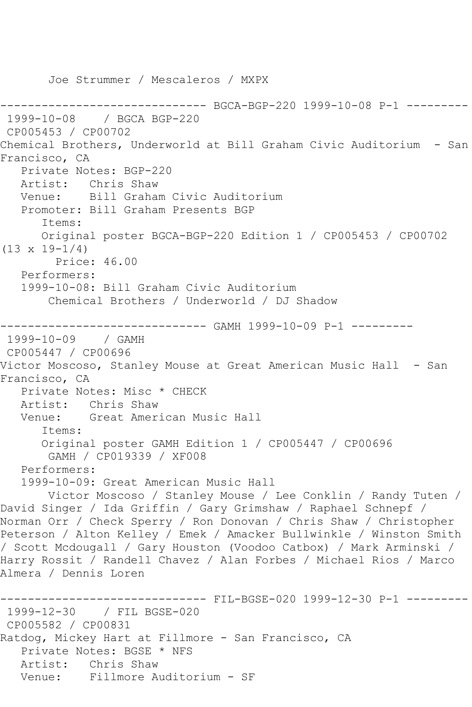Joe Strummer / Mescaleros / MXPX ---------- BGCA-BGP-220 1999-10-08 P-1 ---------1999-10-08 / BGCA BGP-220 CP005453 / CP00702 Chemical Brothers, Underworld at Bill Graham Civic Auditorium - San Francisco, CA Private Notes: BGP-220 Artist: Chris Shaw Venue: Bill Graham Civic Auditorium Promoter: Bill Graham Presents BGP Items: Original poster BGCA-BGP-220 Edition 1 / CP005453 / CP00702  $(13 \times 19 - 1/4)$  Price: 46.00 Performers: 1999-10-08: Bill Graham Civic Auditorium Chemical Brothers / Underworld / DJ Shadow ------------------------------ GAMH 1999-10-09 P-1 --------- 1999-10-09 / GAMH CP005447 / CP00696 Victor Moscoso, Stanley Mouse at Great American Music Hall - San Francisco, CA Private Notes: Misc \* CHECK Artist: Chris Shaw Venue: Great American Music Hall Items: Original poster GAMH Edition 1 / CP005447 / CP00696 GAMH / CP019339 / XF008 Performers: 1999-10-09: Great American Music Hall Victor Moscoso / Stanley Mouse / Lee Conklin / Randy Tuten / David Singer / Ida Griffin / Gary Grimshaw / Raphael Schnepf / Norman Orr / Check Sperry / Ron Donovan / Chris Shaw / Christopher Peterson / Alton Kelley / Emek / Amacker Bullwinkle / Winston Smith / Scott Mcdougall / Gary Houston (Voodoo Catbox) / Mark Arminski / Harry Rossit / Randell Chavez / Alan Forbes / Michael Rios / Marco Almera / Dennis Loren ------------------------------ FIL-BGSE-020 1999-12-30 P-1 --------- 1999-12-30 / FIL BGSE-020 CP005582 / CP00831 Ratdog, Mickey Hart at Fillmore - San Francisco, CA Private Notes: BGSE \* NFS Artist: Chris Shaw Venue: Fillmore Auditorium - SF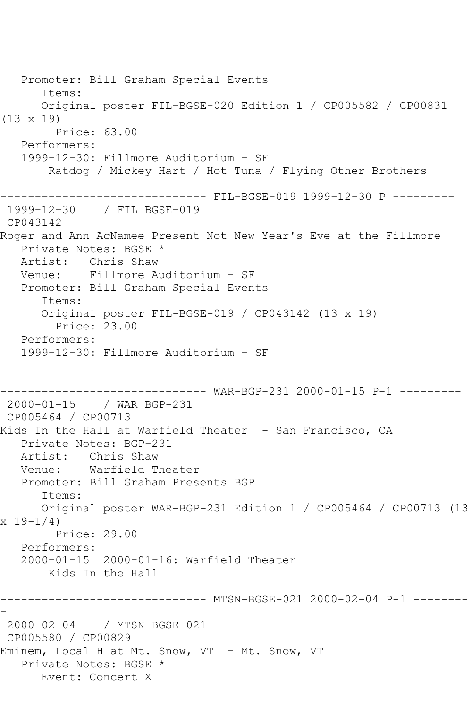Promoter: Bill Graham Special Events Items: Original poster FIL-BGSE-020 Edition 1 / CP005582 / CP00831 (13 x 19) Price: 63.00 Performers: 1999-12-30: Fillmore Auditorium - SF Ratdog / Mickey Hart / Hot Tuna / Flying Other Brothers ------------------------------ FIL-BGSE-019 1999-12-30 P --------- 1999-12-30 / FIL BGSE-019 CP043142 Roger and Ann AcNamee Present Not New Year's Eve at the Fillmore Private Notes: BGSE \* Artist: Chris Shaw Venue: Fillmore Auditorium - SF Promoter: Bill Graham Special Events Items: Original poster FIL-BGSE-019 / CP043142 (13 x 19) Price: 23.00 Performers: 1999-12-30: Fillmore Auditorium - SF ------------------------------ WAR-BGP-231 2000-01-15 P-1 --------- 2000-01-15 / WAR BGP-231 CP005464 / CP00713 Kids In the Hall at Warfield Theater - San Francisco, CA Private Notes: BGP-231 Artist: Chris Shaw Venue: Warfield Theater Promoter: Bill Graham Presents BGP Items: Original poster WAR-BGP-231 Edition 1 / CP005464 / CP00713 (13 x 19-1/4) Price: 29.00 Performers: 2000-01-15 2000-01-16: Warfield Theater Kids In the Hall ------------------------------ MTSN-BGSE-021 2000-02-04 P-1 -------- - 2000-02-04 / MTSN BGSE-021 CP005580 / CP00829 Eminem, Local H at Mt. Snow, VT - Mt. Snow, VT Private Notes: BGSE \* Event: Concert X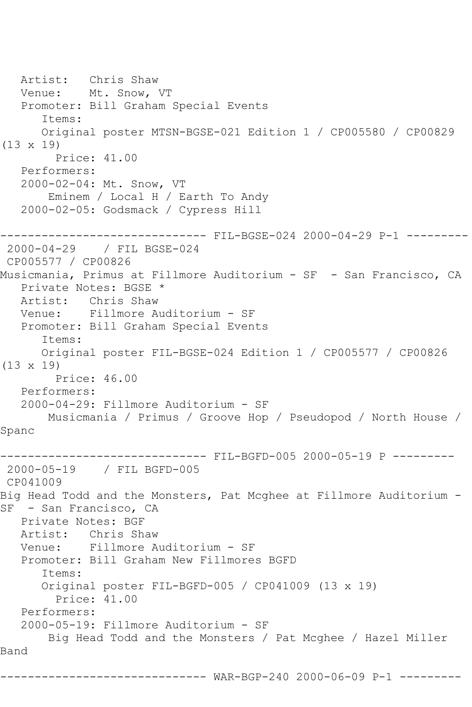Artist: Chris Shaw Venue: Mt. Snow, VT Promoter: Bill Graham Special Events Items: Original poster MTSN-BGSE-021 Edition 1 / CP005580 / CP00829 (13 x 19) Price: 41.00 Performers: 2000-02-04: Mt. Snow, VT Eminem / Local H / Earth To Andy 2000-02-05: Godsmack / Cypress Hill ------------- FIL-BGSE-024 2000-04-29 P-1 ---------2000-04-29 / FIL BGSE-024 CP005577 / CP00826 Musicmania, Primus at Fillmore Auditorium - SF - San Francisco, CA Private Notes: BGSE \* Artist: Chris Shaw Venue: Fillmore Auditorium - SF Promoter: Bill Graham Special Events Items: Original poster FIL-BGSE-024 Edition 1 / CP005577 / CP00826 (13 x 19) Price: 46.00 Performers: 2000-04-29: Fillmore Auditorium - SF Musicmania / Primus / Groove Hop / Pseudopod / North House / Spanc ------------------------------ FIL-BGFD-005 2000-05-19 P --------- 2000-05-19 / FIL BGFD-005 CP041009 Big Head Todd and the Monsters, Pat Mcghee at Fillmore Auditorium - SF - San Francisco, CA Private Notes: BGF Artist: Chris Shaw Venue: Fillmore Auditorium - SF Promoter: Bill Graham New Fillmores BGFD Items: Original poster FIL-BGFD-005 / CP041009 (13 x 19) Price: 41.00 Performers: 2000-05-19: Fillmore Auditorium - SF Big Head Todd and the Monsters / Pat Mcghee / Hazel Miller Band ------------------------------ WAR-BGP-240 2000-06-09 P-1 ---------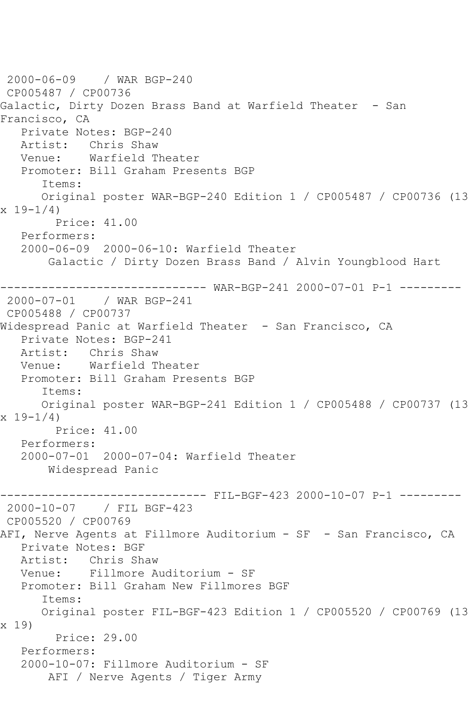2000-06-09 / WAR BGP-240 CP005487 / CP00736 Galactic, Dirty Dozen Brass Band at Warfield Theater - San Francisco, CA Private Notes: BGP-240 Artist: Chris Shaw Venue: Warfield Theater Promoter: Bill Graham Presents BGP Items: Original poster WAR-BGP-240 Edition 1 / CP005487 / CP00736 (13  $x 19 - 1/4$  Price: 41.00 Performers: 2000-06-09 2000-06-10: Warfield Theater Galactic / Dirty Dozen Brass Band / Alvin Youngblood Hart ------------------------------ WAR-BGP-241 2000-07-01 P-1 --------- 2000-07-01 / WAR BGP-241 CP005488 / CP00737 Widespread Panic at Warfield Theater - San Francisco, CA Private Notes: BGP-241 Artist: Chris Shaw Venue: Warfield Theater Promoter: Bill Graham Presents BGP Items: Original poster WAR-BGP-241 Edition 1 / CP005488 / CP00737 (13  $x 19 - 1/4$  Price: 41.00 Performers: 2000-07-01 2000-07-04: Warfield Theater Widespread Panic ------------------------------ FIL-BGF-423 2000-10-07 P-1 --------- 2000-10-07 / FIL BGF-423 CP005520 / CP00769 AFI, Nerve Agents at Fillmore Auditorium - SF - San Francisco, CA Private Notes: BGF Artist: Chris Shaw Venue: Fillmore Auditorium - SF Promoter: Bill Graham New Fillmores BGF Items: Original poster FIL-BGF-423 Edition 1 / CP005520 / CP00769 (13 x 19) Price: 29.00 Performers: 2000-10-07: Fillmore Auditorium - SF AFI / Nerve Agents / Tiger Army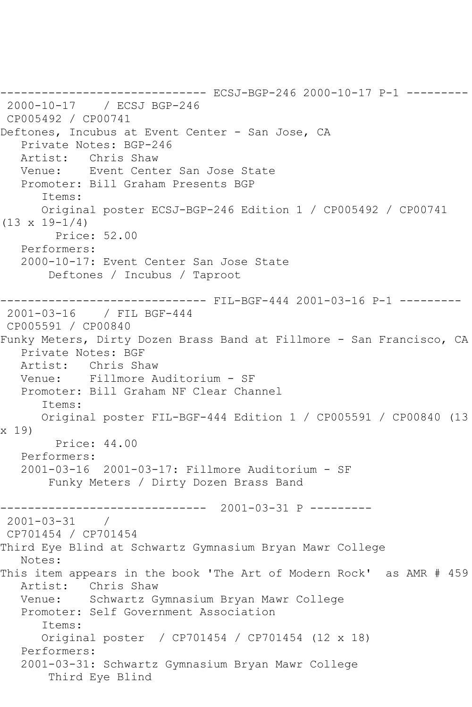------------------------------ ECSJ-BGP-246 2000-10-17 P-1 --------- 2000-10-17 / ECSJ BGP-246 CP005492 / CP00741 Deftones, Incubus at Event Center - San Jose, CA Private Notes: BGP-246 Artist: Chris Shaw Venue: Event Center San Jose State Promoter: Bill Graham Presents BGP Items: Original poster ECSJ-BGP-246 Edition 1 / CP005492 / CP00741  $(13 \times 19 - 1/4)$  Price: 52.00 Performers: 2000-10-17: Event Center San Jose State Deftones / Incubus / Taproot ------------------------------ FIL-BGF-444 2001-03-16 P-1 --------- 2001-03-16 / FIL BGF-444 CP005591 / CP00840 Funky Meters, Dirty Dozen Brass Band at Fillmore - San Francisco, CA Private Notes: BGF Artist: Chris Shaw Venue: Fillmore Auditorium - SF Promoter: Bill Graham NF Clear Channel Items: Original poster FIL-BGF-444 Edition 1 / CP005591 / CP00840 (13 x 19) Price: 44.00 Performers: 2001-03-16 2001-03-17: Fillmore Auditorium - SF Funky Meters / Dirty Dozen Brass Band ------------------------------ 2001-03-31 P --------- 2001-03-31 / CP701454 / CP701454 Third Eye Blind at Schwartz Gymnasium Bryan Mawr College Notes: This item appears in the book 'The Art of Modern Rock' as AMR # 459 Artist: Chris Shaw<br>Venue: Schwartz G Schwartz Gymnasium Bryan Mawr College Promoter: Self Government Association Items: Original poster / CP701454 / CP701454 (12 x 18) Performers: 2001-03-31: Schwartz Gymnasium Bryan Mawr College Third Eye Blind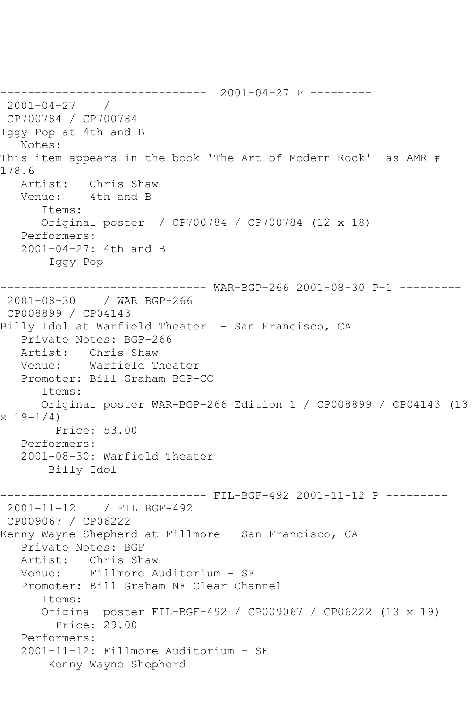------------------------------ 2001-04-27 P --------- 2001-04-27 / CP700784 / CP700784 Iggy Pop at 4th and B Notes: This item appears in the book 'The Art of Modern Rock' as AMR # 178.6 Artist: Chris Shaw Venue: 4th and B Items: Original poster / CP700784 / CP700784 (12 x 18) Performers: 2001-04-27: 4th and B Iggy Pop ------------------------------ WAR-BGP-266 2001-08-30 P-1 --------- 2001-08-30 / WAR BGP-266 CP008899 / CP04143 Billy Idol at Warfield Theater - San Francisco, CA Private Notes: BGP-266<br>Artist: Chris Shaw Chris Shaw Venue: Warfield Theater Promoter: Bill Graham BGP-CC Items: Original poster WAR-BGP-266 Edition 1 / CP008899 / CP04143 (13  $x 19 - 1/4$  Price: 53.00 Performers: 2001-08-30: Warfield Theater Billy Idol ------------------------------ FIL-BGF-492 2001-11-12 P --------- 2001-11-12 / FIL BGF-492 CP009067 / CP06222 Kenny Wayne Shepherd at Fillmore - San Francisco, CA Private Notes: BGF Artist: Chris Shaw Venue: Fillmore Auditorium - SF Promoter: Bill Graham NF Clear Channel Items: Original poster FIL-BGF-492 / CP009067 / CP06222 (13 x 19) Price: 29.00 Performers: 2001-11-12: Fillmore Auditorium - SF Kenny Wayne Shepherd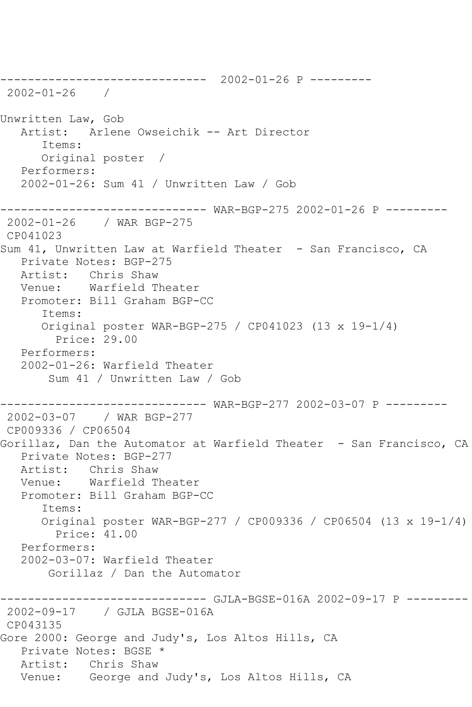------------------------------ 2002-01-26 P --------- 2002-01-26 / Unwritten Law, Gob Artist: Arlene Owseichik -- Art Director Items: Original poster / Performers: 2002-01-26: Sum 41 / Unwritten Law / Gob ------------------------------ WAR-BGP-275 2002-01-26 P --------- 2002-01-26 / WAR BGP-275 CP041023 Sum 41, Unwritten Law at Warfield Theater - San Francisco, CA Private Notes: BGP-275 Artist: Chris Shaw Venue: Warfield Theater Promoter: Bill Graham BGP-CC Items: Original poster WAR-BGP-275 / CP041023 (13 x 19-1/4) Price: 29.00 Performers: 2002-01-26: Warfield Theater Sum 41 / Unwritten Law / Gob ------------------------------ WAR-BGP-277 2002-03-07 P --------- 2002-03-07 / WAR BGP-277 CP009336 / CP06504 Gorillaz, Dan the Automator at Warfield Theater - San Francisco, CA Private Notes: BGP-277 Artist: Chris Shaw Venue: Warfield Theater Promoter: Bill Graham BGP-CC Items: Original poster WAR-BGP-277 / CP009336 / CP06504 (13 x 19-1/4) Price: 41.00 Performers: 2002-03-07: Warfield Theater Gorillaz / Dan the Automator ------------------------------ GJLA-BGSE-016A 2002-09-17 P --------- 2002-09-17 / GJLA BGSE-016A CP043135 Gore 2000: George and Judy's, Los Altos Hills, CA Private Notes: BGSE \* Artist: Chris Shaw Venue: George and Judy's, Los Altos Hills, CA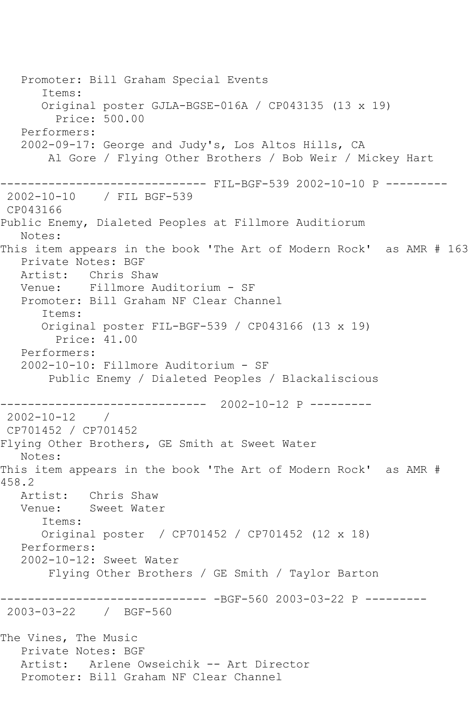Promoter: Bill Graham Special Events Items: Original poster GJLA-BGSE-016A / CP043135 (13 x 19) Price: 500.00 Performers: 2002-09-17: George and Judy's, Los Altos Hills, CA Al Gore / Flying Other Brothers / Bob Weir / Mickey Hart ------------------------------ FIL-BGF-539 2002-10-10 P --------- 2002-10-10 / FIL BGF-539 CP043166 Public Enemy, Dialeted Peoples at Fillmore Auditiorum Notes: This item appears in the book 'The Art of Modern Rock' as AMR # 163 Private Notes: BGF Artist: Chris Shaw Venue: Fillmore Auditorium - SF Promoter: Bill Graham NF Clear Channel Items: Original poster FIL-BGF-539 / CP043166 (13 x 19) Price: 41.00 Performers: 2002-10-10: Fillmore Auditorium - SF Public Enemy / Dialeted Peoples / Blackaliscious ------------------------------ 2002-10-12 P --------- 2002-10-12 / CP701452 / CP701452 Flying Other Brothers, GE Smith at Sweet Water Notes: This item appears in the book 'The Art of Modern Rock' as AMR # 458.2 Artist: Chris Shaw<br>Venue: Sweet Wate Sweet Water Items: Original poster / CP701452 / CP701452 (12 x 18) Performers: 2002-10-12: Sweet Water Flying Other Brothers / GE Smith / Taylor Barton ------------------------------ -BGF-560 2003-03-22 P --------- 2003-03-22 / BGF-560 The Vines, The Music Private Notes: BGF Artist: Arlene Owseichik -- Art Director Promoter: Bill Graham NF Clear Channel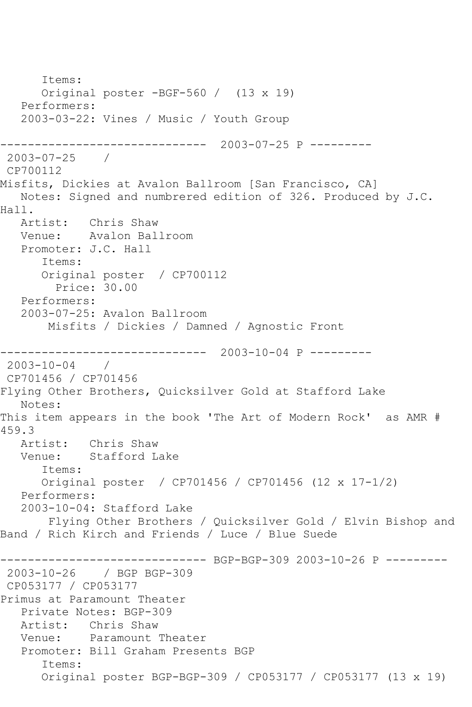Items: Original poster -BGF-560 / (13 x 19) Performers: 2003-03-22: Vines / Music / Youth Group ------------------------------ 2003-07-25 P --------- 2003-07-25 / CP700112 Misfits, Dickies at Avalon Ballroom [San Francisco, CA] Notes: Signed and numbrered edition of 326. Produced by J.C. Hall. Artist: Chris Shaw Venue: Avalon Ballroom Promoter: J.C. Hall Items: Original poster / CP700112 Price: 30.00 Performers: 2003-07-25: Avalon Ballroom Misfits / Dickies / Damned / Agnostic Front ------------------------------ 2003-10-04 P --------- 2003-10-04 / CP701456 / CP701456 Flying Other Brothers, Quicksilver Gold at Stafford Lake Notes: This item appears in the book 'The Art of Modern Rock' as AMR # 459.3 Artist: Chris Shaw Venue: Stafford Lake Items: Original poster / CP701456 / CP701456 (12 x 17-1/2) Performers: 2003-10-04: Stafford Lake Flying Other Brothers / Quicksilver Gold / Elvin Bishop and Band / Rich Kirch and Friends / Luce / Blue Suede ----------- BGP-BGP-309 2003-10-26 P ---------2003-10-26 / BGP BGP-309 CP053177 / CP053177 Primus at Paramount Theater Private Notes: BGP-309 Artist: Chris Shaw Venue: Paramount Theater Promoter: Bill Graham Presents BGP Items: Original poster BGP-BGP-309 / CP053177 / CP053177 (13 x 19)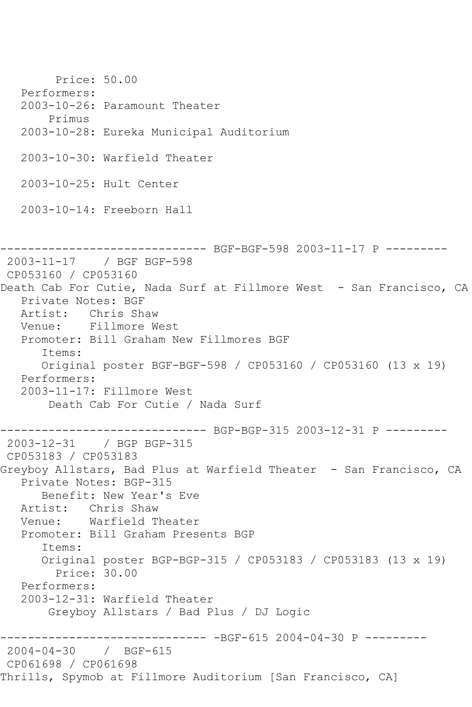Price: 50.00 Performers: 2003-10-26: Paramount Theater Primus 2003-10-28: Eureka Municipal Auditorium 2003-10-30: Warfield Theater 2003-10-25: Hult Center 2003-10-14: Freeborn Hall ------------------------------ BGF-BGF-598 2003-11-17 P --------- 2003-11-17 / BGF BGF-598 CP053160 / CP053160 Death Cab For Cutie, Nada Surf at Fillmore West - San Francisco, CA Private Notes: BGF Artist: Chris Shaw Venue: Fillmore West Promoter: Bill Graham New Fillmores BGF Items: Original poster BGF-BGF-598 / CP053160 / CP053160 (13 x 19) Performers: 2003-11-17: Fillmore West Death Cab For Cutie / Nada Surf ------------------------------ BGP-BGP-315 2003-12-31 P --------- 2003-12-31 / BGP BGP-315 CP053183 / CP053183 Greyboy Allstars, Bad Plus at Warfield Theater - San Francisco, CA Private Notes: BGP-315 Benefit: New Year's Eve Artist: Chris Shaw Venue: Warfield Theater Promoter: Bill Graham Presents BGP Items: Original poster BGP-BGP-315 / CP053183 / CP053183 (13 x 19) Price: 30.00 Performers: 2003-12-31: Warfield Theater Greyboy Allstars / Bad Plus / DJ Logic ------------------------------ -BGF-615 2004-04-30 P --------- 2004-04-30 / BGF-615 CP061698 / CP061698 Thrills, Spymob at Fillmore Auditorium [San Francisco, CA]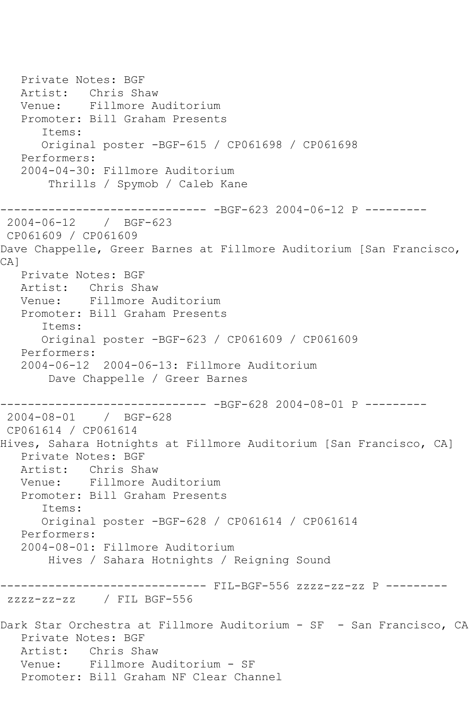Private Notes: BGF Artist: Chris Shaw Venue: Fillmore Auditorium Promoter: Bill Graham Presents Items: Original poster -BGF-615 / CP061698 / CP061698 Performers: 2004-04-30: Fillmore Auditorium Thrills / Spymob / Caleb Kane ------------------------------ -BGF-623 2004-06-12 P --------- 2004-06-12 / BGF-623 CP061609 / CP061609 Dave Chappelle, Greer Barnes at Fillmore Auditorium [San Francisco, CA] Private Notes: BGF Artist: Chris Shaw Venue: Fillmore Auditorium Promoter: Bill Graham Presents Items: Original poster -BGF-623 / CP061609 / CP061609 Performers: 2004-06-12 2004-06-13: Fillmore Auditorium Dave Chappelle / Greer Barnes ------------------------------ -BGF-628 2004-08-01 P --------- 2004-08-01 / BGF-628 CP061614 / CP061614 Hives, Sahara Hotnights at Fillmore Auditorium [San Francisco, CA] Private Notes: BGF Artist: Chris Shaw Venue: Fillmore Auditorium Promoter: Bill Graham Presents Items: Original poster -BGF-628 / CP061614 / CP061614 Performers: 2004-08-01: Fillmore Auditorium Hives / Sahara Hotnights / Reigning Sound ------------------------------ FIL-BGF-556 zzzz-zz-zz P -------- zzzz-zz-zz / FIL BGF-556 Dark Star Orchestra at Fillmore Auditorium - SF - San Francisco, CA Private Notes: BGF Artist: Chris Shaw Venue: Fillmore Auditorium - SF Promoter: Bill Graham NF Clear Channel